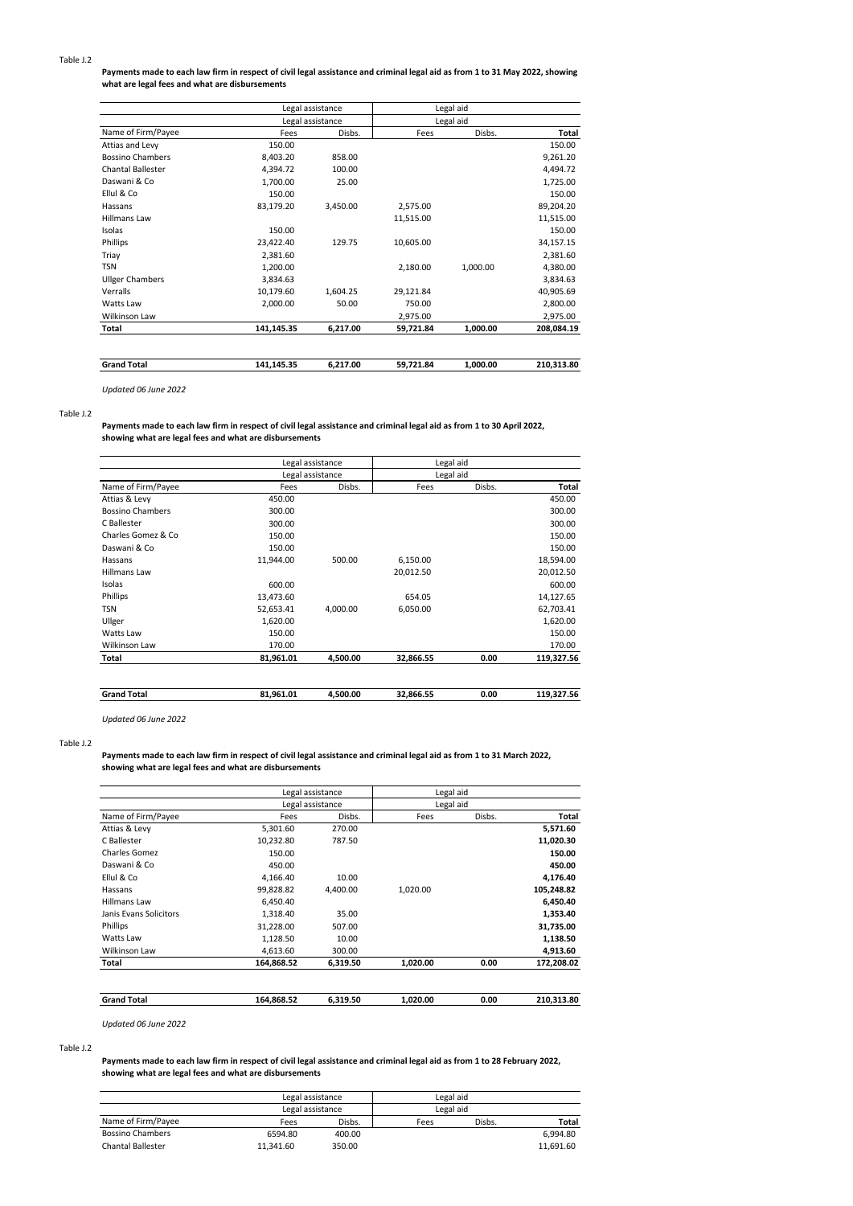### **Payments made to each law firm in respect of civil legal assistance and criminal legal aid as from 1 to 31 May 2022, showing what are legal fees and what are disbursements**

| <b>Grand Total</b>       | 141,145.35 | 6,217.00         | 59,721.84 | 1,000.00  | 210,313.80 |
|--------------------------|------------|------------------|-----------|-----------|------------|
|                          |            |                  |           |           |            |
| Total                    | 141,145.35 | 6,217.00         | 59,721.84 | 1,000.00  | 208,084.19 |
| Wilkinson Law            |            |                  | 2,975.00  |           | 2,975.00   |
| Watts Law                | 2,000.00   | 50.00            | 750.00    |           | 2,800.00   |
| Verralls                 | 10,179.60  | 1,604.25         | 29,121.84 |           | 40,905.69  |
| <b>Ullger Chambers</b>   | 3,834.63   |                  |           |           | 3,834.63   |
| <b>TSN</b>               | 1,200.00   |                  | 2,180.00  | 1,000.00  | 4,380.00   |
| Triay                    | 2,381.60   |                  |           |           | 2,381.60   |
| Phillips                 | 23,422.40  | 129.75           | 10,605.00 |           | 34,157.15  |
| Isolas                   | 150.00     |                  |           |           | 150.00     |
| <b>Hillmans Law</b>      |            |                  | 11,515.00 |           | 11,515.00  |
| Hassans                  | 83,179.20  | 3,450.00         | 2,575.00  |           | 89,204.20  |
| Ellul & Co               | 150.00     |                  |           |           | 150.00     |
| Daswani & Co             | 1,700.00   | 25.00            |           |           | 1,725.00   |
| <b>Chantal Ballester</b> | 4,394.72   | 100.00           |           |           | 4,494.72   |
| <b>Bossino Chambers</b>  | 8,403.20   | 858.00           |           |           | 9,261.20   |
| Attias and Levy          | 150.00     |                  |           |           | 150.00     |
| Name of Firm/Payee       | Fees       | Disbs.           | Fees      | Disbs.    | Total      |
|                          |            | Legal assistance |           | Legal aid |            |
|                          |            | Legal assistance |           | Legal aid |            |

*Updated 06 June 2022*

### Table J.2

**Payments made to each law firm in respect of civil legal assistance and criminal legal aid as from 1 to 30 April 2022, showing what are legal fees and what are disbursements**

|                         |           | Legal assistance | Legal aid |           |            |
|-------------------------|-----------|------------------|-----------|-----------|------------|
| Name of Firm/Payee      |           | Legal assistance |           | Legal aid |            |
|                         | Fees      | Disbs.           | Fees      | Disbs.    | Total      |
| Attias & Levy           | 450.00    |                  |           |           | 450.00     |
| <b>Bossino Chambers</b> | 300.00    |                  |           |           | 300.00     |
| C Ballester             | 300.00    |                  |           |           | 300.00     |
| Charles Gomez & Co.     | 150.00    |                  |           |           | 150.00     |
| Daswani & Co            | 150.00    |                  |           |           | 150.00     |
| Hassans                 | 11.944.00 | 500.00           | 6,150.00  |           | 18,594.00  |
| <b>Hillmans Law</b>     |           |                  | 20,012.50 |           | 20,012.50  |
| Isolas                  | 600.00    |                  |           |           | 600.00     |
| Phillips                | 13,473.60 |                  | 654.05    |           | 14,127.65  |
| <b>TSN</b>              | 52,653.41 | 4.000.00         | 6,050.00  |           | 62,703.41  |
| Ullger                  | 1,620.00  |                  |           |           | 1,620.00   |
| Watts Law               | 150.00    |                  |           |           | 150.00     |
| Wilkinson Law           | 170.00    |                  |           |           | 170.00     |
| Total                   | 81,961.01 | 4,500.00         | 32,866.55 | 0.00      | 119,327.56 |

| <b>Grand Total</b> | .961.01<br>$^{o}$ 1 | 500.00 | 32.866.55 | 0.00 | 7.56 |
|--------------------|---------------------|--------|-----------|------|------|
|                    |                     |        |           |      |      |

*Updated 06 June 2022*

### Table J.2

#### **Payments made to each law firm in respect of civil legal assistance and criminal legal aid as from 1 to 31 March 2022, showing what are legal fees and what are disbursements**

|                        |            | Legal assistance | Legal aid |        |            |
|------------------------|------------|------------------|-----------|--------|------------|
|                        |            | Legal assistance | Legal aid |        |            |
| Name of Firm/Payee     | Fees       | Disbs.           | Fees      | Disbs. | Total      |
| Attias & Levy          | 5,301.60   | 270.00           |           |        | 5,571.60   |
| C Ballester            | 10,232.80  | 787.50           |           |        | 11,020.30  |
| Charles Gomez          | 150.00     |                  |           |        | 150.00     |
| Daswani & Co           | 450.00     |                  |           |        | 450.00     |
| Ellul & Co             | 4.166.40   | 10.00            |           |        | 4,176.40   |
| Hassans                | 99,828.82  | 4,400.00         | 1,020.00  |        | 105,248.82 |
| <b>Hillmans Law</b>    | 6.450.40   |                  |           |        | 6,450.40   |
| Janis Evans Solicitors | 1,318.40   | 35.00            |           |        | 1,353.40   |
| Phillips               | 31,228.00  | 507.00           |           |        | 31,735.00  |
| Watts Law              | 1,128.50   | 10.00            |           |        | 1,138.50   |
| Wilkinson Law          | 4.613.60   | 300.00           |           |        | 4,913.60   |
| Total                  | 164,868.52 | 6,319.50         | 1,020.00  | 0.00   | 172,208.02 |
| <b>Grand Total</b>     | 164,868.52 | 6.319.50         | 1,020.00  | 0.00   | 210,313.80 |

*Updated 06 June 2022*

#### Table J.2

### **Payments made to each law firm in respect of civil legal assistance and criminal legal aid as from 1 to 28 February 2022, showing what are legal fees and what are disbursements**

|                          | Legal assistance |        | Legal aid |        |           |
|--------------------------|------------------|--------|-----------|--------|-----------|
|                          | Legal assistance |        | Legal aid |        |           |
| Name of Firm/Payee       | Fees             | Disbs. | Fees      | Disbs. | Total     |
| <b>Bossino Chambers</b>  | 6594.80          | 400.00 |           |        | 6.994.80  |
| <b>Chantal Ballester</b> | 11.341.60        | 350.00 |           |        | 11.691.60 |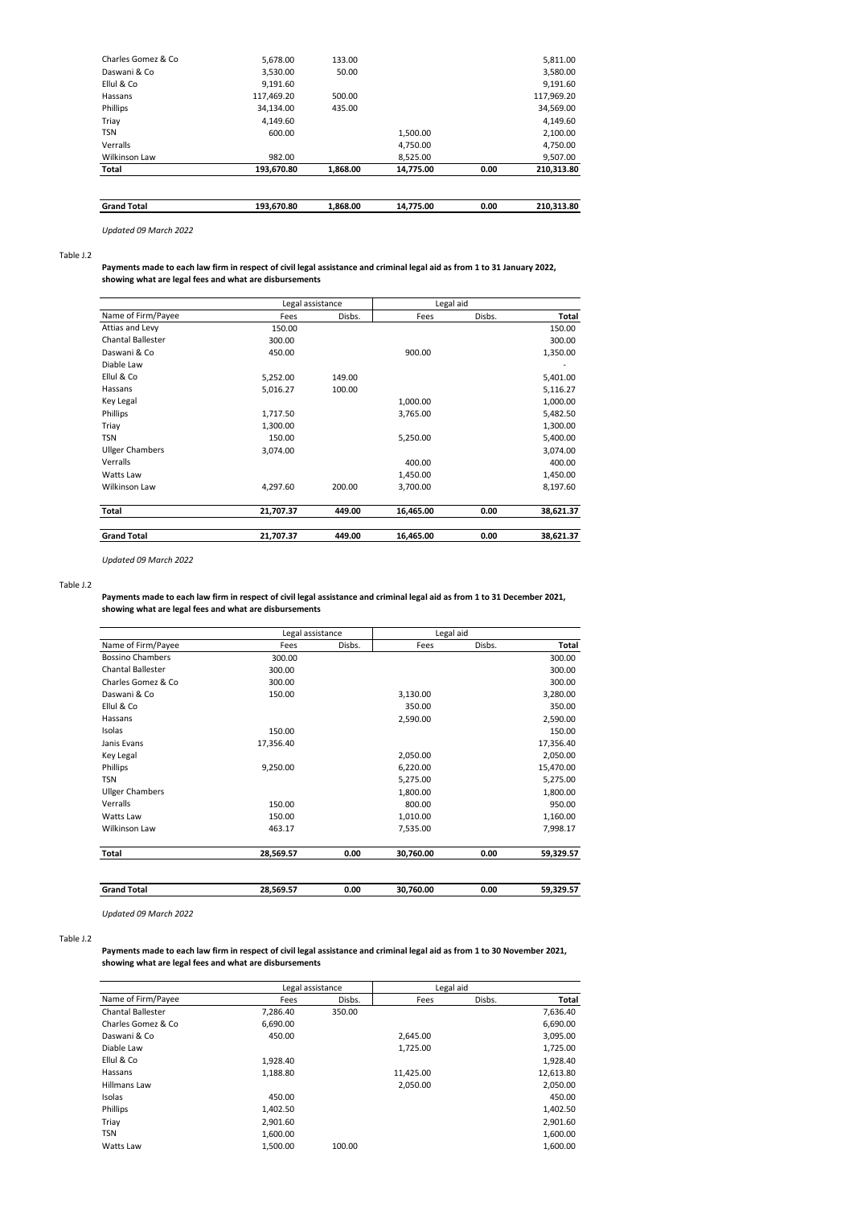| <b>Grand Total</b>  | 193.670.80 | 1.868.00 | 14.775.00 | 0.00 | 210.313.80 |
|---------------------|------------|----------|-----------|------|------------|
|                     |            |          |           |      |            |
| Total               | 193.670.80 | 1.868.00 | 14,775.00 | 0.00 | 210.313.80 |
| Wilkinson Law       | 982.00     |          | 8,525.00  |      | 9,507.00   |
| Verralls            |            |          | 4.750.00  |      | 4,750.00   |
| <b>TSN</b>          | 600.00     |          | 1.500.00  |      | 2,100.00   |
| Triay               | 4.149.60   |          |           |      | 4,149.60   |
| Phillips            | 34.134.00  | 435.00   |           |      | 34,569.00  |
| Hassans             | 117,469.20 | 500.00   |           |      | 117,969.20 |
| Ellul & Co          | 9,191.60   |          |           |      | 9,191.60   |
| Daswani & Co        | 3,530.00   | 50.00    |           |      | 3,580.00   |
| Charles Gomez & Co. | 5.678.00   | 133.00   |           |      | 5,811.00   |
|                     |            |          |           |      |            |

*Updated 09 March 2022*

Table J.2

**Payments made to each law firm in respect of civil legal assistance and criminal legal aid as from 1 to 31 January 2022, showing what are legal fees and what are disbursements**

|                          | Legal assistance |        | Legal aid |        |           |
|--------------------------|------------------|--------|-----------|--------|-----------|
| Name of Firm/Payee       | Fees             | Disbs. | Fees      | Disbs. | Total     |
| Attias and Levy          | 150.00           |        |           |        | 150.00    |
| <b>Chantal Ballester</b> | 300.00           |        |           |        | 300.00    |
| Daswani & Co             | 450.00           |        | 900.00    |        | 1,350.00  |
| Diable Law               |                  |        |           |        |           |
| Ellul & Co               | 5,252.00         | 149.00 |           |        | 5,401.00  |
| Hassans                  | 5,016.27         | 100.00 |           |        | 5,116.27  |
| Key Legal                |                  |        | 1,000.00  |        | 1,000.00  |
| Phillips                 | 1,717.50         |        | 3,765.00  |        | 5,482.50  |
| Triay                    | 1,300.00         |        |           |        | 1,300.00  |
| <b>TSN</b>               | 150.00           |        | 5,250.00  |        | 5,400.00  |
| <b>Ullger Chambers</b>   | 3,074.00         |        |           |        | 3,074.00  |
| Verralls                 |                  |        | 400.00    |        | 400.00    |
| Watts Law                |                  |        | 1,450.00  |        | 1,450.00  |
| Wilkinson Law            | 4,297.60         | 200.00 | 3,700.00  |        | 8,197.60  |
| Total                    | 21,707.37        | 449.00 | 16,465.00 | 0.00   | 38,621.37 |
| <b>Grand Total</b>       | 21,707.37        | 449.00 | 16,465.00 | 0.00   | 38,621.37 |

*Updated 09 March 2022*

#### Table J.2

**Payments made to each law firm in respect of civil legal assistance and criminal legal aid as from 1 to 31 December 2021, showing what are legal fees and what are disbursements**

|                          |           | Legal assistance |           | Legal aid |           |
|--------------------------|-----------|------------------|-----------|-----------|-----------|
| Name of Firm/Payee       | Fees      | Disbs.           | Fees      | Disbs.    | Total     |
| <b>Bossino Chambers</b>  | 300.00    |                  |           |           | 300.00    |
| <b>Chantal Ballester</b> | 300.00    |                  |           |           | 300.00    |
| Charles Gomez & Co       | 300.00    |                  |           |           | 300.00    |
| Daswani & Co             | 150.00    |                  | 3,130.00  |           | 3,280.00  |
| Ellul & Co               |           |                  | 350.00    |           | 350.00    |
| Hassans                  |           |                  | 2,590.00  |           | 2,590.00  |
| Isolas                   | 150.00    |                  |           |           | 150.00    |
| Janis Evans              | 17,356.40 |                  |           |           | 17,356.40 |
| Key Legal                |           |                  | 2,050.00  |           | 2,050.00  |
| Phillips                 | 9,250.00  |                  | 6,220.00  |           | 15,470.00 |
| <b>TSN</b>               |           |                  | 5,275.00  |           | 5,275.00  |
| <b>Ullger Chambers</b>   |           |                  | 1,800.00  |           | 1,800.00  |
| Verralls                 | 150.00    |                  | 800.00    |           | 950.00    |
| Watts Law                | 150.00    |                  | 1,010.00  |           | 1,160.00  |
| Wilkinson Law            | 463.17    |                  | 7,535.00  |           | 7,998.17  |
| Total                    | 28,569.57 | 0.00             | 30,760.00 | 0.00      | 59,329.57 |
|                          |           |                  |           |           |           |
| <b>Grand Total</b>       | 28,569.57 | 0.00             | 30,760.00 | 0.00      | 59,329.57 |

*Updated 09 March 2022*

Table J.2

**Payments made to each law firm in respect of civil legal assistance and criminal legal aid as from 1 to 30 November 2021, showing what are legal fees and what are disbursements**

|                          | Legal assistance |        |           | Legal aid |           |
|--------------------------|------------------|--------|-----------|-----------|-----------|
| Name of Firm/Payee       | Fees             | Disbs. | Fees      | Disbs.    | Total     |
| <b>Chantal Ballester</b> | 7.286.40         | 350.00 |           |           | 7,636.40  |
| Charles Gomez & Co.      | 6,690.00         |        |           |           | 6,690.00  |
| Daswani & Co             | 450.00           |        | 2.645.00  |           | 3,095.00  |
| Diable Law               |                  |        | 1,725.00  |           | 1,725.00  |
| Ellul & Co               | 1.928.40         |        |           |           | 1,928.40  |
| Hassans                  | 1,188.80         |        | 11,425.00 |           | 12,613.80 |
| <b>Hillmans Law</b>      |                  |        | 2,050.00  |           | 2,050.00  |
| Isolas                   | 450.00           |        |           |           | 450.00    |
| Phillips                 | 1,402.50         |        |           |           | 1,402.50  |
| Triay                    | 2,901.60         |        |           |           | 2,901.60  |
| <b>TSN</b>               | 1.600.00         |        |           |           | 1,600.00  |
| Watts Law                | 1.500.00         | 100.00 |           |           | 1.600.00  |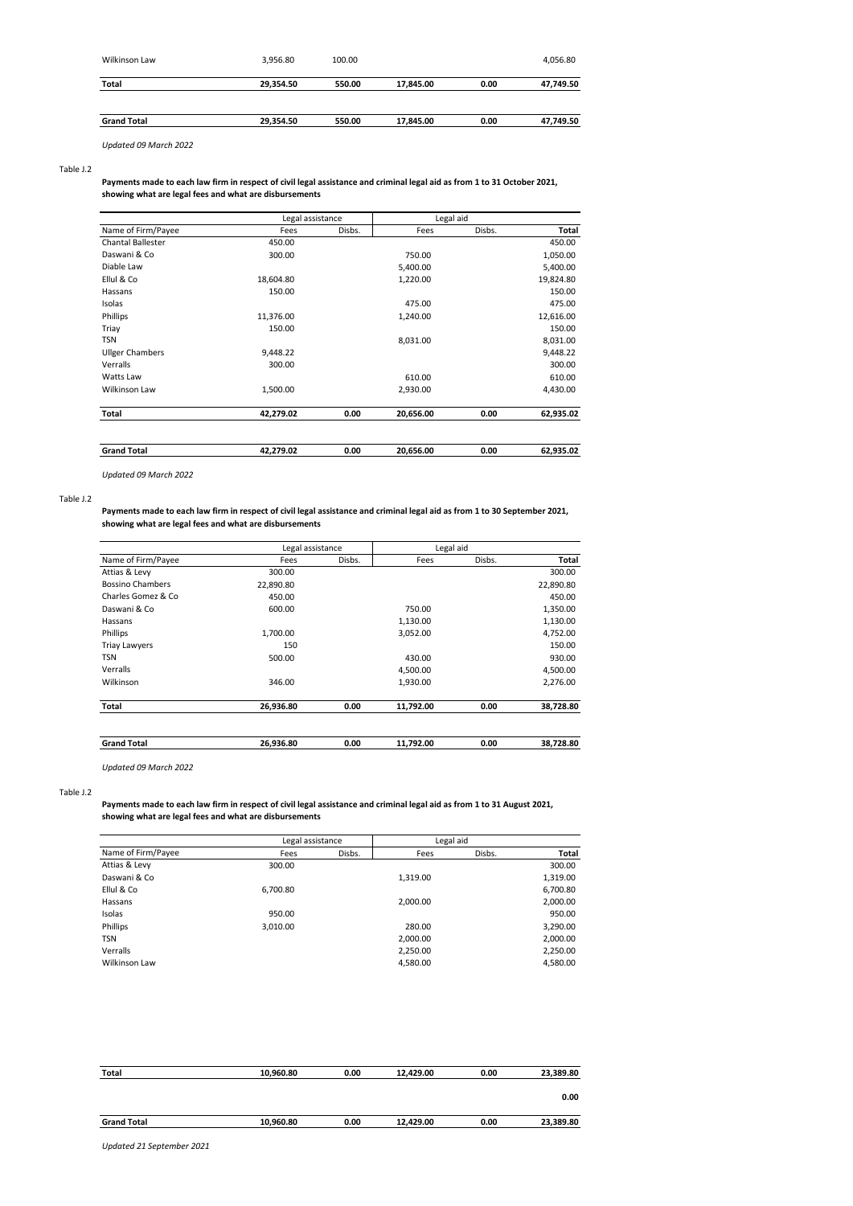| Wilkinson Law      | 3,956.80  | 100.00 |           |      | 4,056.80  |
|--------------------|-----------|--------|-----------|------|-----------|
| Total              | 29,354.50 | 550.00 | 17,845.00 | 0.00 | 47,749.50 |
| <b>Grand Total</b> | 29,354.50 | 550.00 | 17,845.00 | 0.00 | 47,749.50 |

*Updated 09 March 2022*

### Table J.2

### **Payments made to each law firm in respect of civil legal assistance and criminal legal aid as from 1 to 31 October 2021, showing what are legal fees and what are disbursements**

|                          | Legal assistance |        | Legal aid |        |              |  |
|--------------------------|------------------|--------|-----------|--------|--------------|--|
| Name of Firm/Payee       | Fees             | Disbs. | Fees      | Disbs. | <b>Total</b> |  |
| <b>Chantal Ballester</b> | 450.00           |        |           |        | 450.00       |  |
| Daswani & Co             | 300.00           |        | 750.00    |        | 1,050.00     |  |
| Diable Law               |                  |        | 5,400.00  |        | 5,400.00     |  |
| Ellul & Co               | 18,604.80        |        | 1,220.00  |        | 19,824.80    |  |
| Hassans                  | 150.00           |        |           |        | 150.00       |  |
| Isolas                   |                  |        | 475.00    |        | 475.00       |  |
| Phillips                 | 11,376.00        |        | 1,240.00  |        | 12,616.00    |  |
| Triay                    | 150.00           |        |           |        | 150.00       |  |
| <b>TSN</b>               |                  |        | 8,031.00  |        | 8,031.00     |  |
| <b>Ullger Chambers</b>   | 9,448.22         |        |           |        | 9,448.22     |  |
| Verralls                 | 300.00           |        |           |        | 300.00       |  |
| Watts Law                |                  |        | 610.00    |        | 610.00       |  |
| Wilkinson Law            | 1,500.00         |        | 2,930.00  |        | 4,430.00     |  |
| Total                    | 42,279.02        | 0.00   | 20,656.00 | 0.00   | 62,935.02    |  |
| <b>Grand Total</b>       | 42,279.02        | 0.00   | 20,656.00 | 0.00   | 62,935.02    |  |

*Updated 09 March 2022*

### Table J.2

### **Payments made to each law firm in respect of civil legal assistance and criminal legal aid as from 1 to 30 September 2021, showing what are legal fees and what are disbursements**

|                         | Legal assistance |        | Legal aid |        |           |  |
|-------------------------|------------------|--------|-----------|--------|-----------|--|
| Name of Firm/Payee      | Fees             | Disbs. | Fees      | Disbs. | Total     |  |
| Attias & Levy           | 300.00           |        |           |        | 300.00    |  |
| <b>Bossino Chambers</b> | 22,890.80        |        |           |        | 22,890.80 |  |
| Charles Gomez & Co.     | 450.00           |        |           |        | 450.00    |  |
| Daswani & Co            | 600.00           |        | 750.00    |        | 1,350.00  |  |
| Hassans                 |                  |        | 1,130.00  |        | 1,130.00  |  |
| Phillips                | 1,700.00         |        | 3,052.00  |        | 4,752.00  |  |
| <b>Triay Lawyers</b>    | 150              |        |           |        | 150.00    |  |
| <b>TSN</b>              | 500.00           |        | 430.00    |        | 930.00    |  |
| Verralls                |                  |        | 4,500.00  |        | 4,500.00  |  |
| Wilkinson               | 346.00           |        | 1,930.00  |        | 2,276.00  |  |
| Total                   | 26,936.80        | 0.00   | 11,792.00 | 0.00   | 38,728.80 |  |
| <b>Grand Total</b>      | 26.936.80        | 0.00   | 11,792.00 | 0.00   | 38,728.80 |  |
|                         |                  |        |           |        |           |  |

*Updated 09 March 2022*

### Table J.2

### **Payments made to each law firm in respect of civil legal assistance and criminal legal aid as from 1 to 31 August 2021, showing what are legal fees and what are disbursements**

|                    | Legal assistance |        | Legal aid |        |              |
|--------------------|------------------|--------|-----------|--------|--------------|
| Name of Firm/Payee | Fees             | Disbs. | Fees      | Disbs. | <b>Total</b> |
| Attias & Levy      | 300.00           |        |           |        | 300.00       |
| Daswani & Co       |                  |        | 1,319.00  |        | 1,319.00     |
| Ellul & Co         | 6,700.80         |        |           |        | 6,700.80     |
| Hassans            |                  |        | 2,000.00  |        | 2,000.00     |
| Isolas             | 950.00           |        |           |        | 950.00       |
| Phillips           | 3,010.00         |        | 280.00    |        | 3,290.00     |
| <b>TSN</b>         |                  |        | 2,000.00  |        | 2,000.00     |
| Verralls           |                  |        | 2,250.00  |        | 2,250.00     |
| Wilkinson Law      |                  |        | 4,580.00  |        | 4,580.00     |

| <b>Total</b>       | 10,960.80 | 0.00 | 12,429.00 | 0.00 | 23,389.80 |
|--------------------|-----------|------|-----------|------|-----------|
|                    |           |      |           |      | 0.00      |
| <b>Grand Total</b> | 10,960.80 | 0.00 | 12,429.00 | 0.00 | 23,389.80 |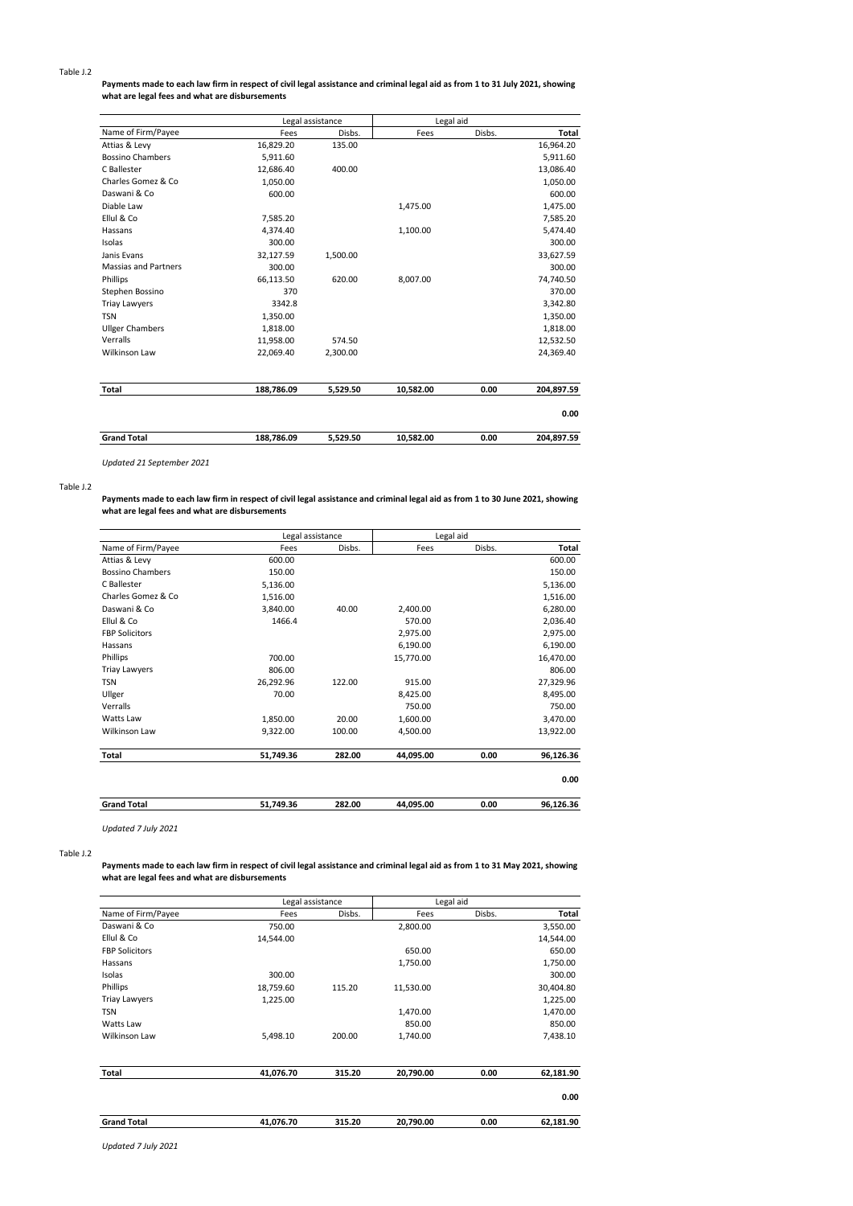### **Payments made to each law firm in respect of civil legal assistance and criminal legal aid as from 1 to 31 July 2021, showing what are legal fees and what are disbursements**

|                             |            | Legal assistance | Legal aid |        |              |
|-----------------------------|------------|------------------|-----------|--------|--------------|
| Name of Firm/Payee          | Fees       | Disbs.           | Fees      | Disbs. | <b>Total</b> |
| Attias & Levy               | 16,829.20  | 135.00           |           |        | 16,964.20    |
| <b>Bossino Chambers</b>     | 5,911.60   |                  |           |        | 5,911.60     |
| C Ballester                 | 12,686.40  | 400.00           |           |        | 13,086.40    |
| Charles Gomez & Co          | 1,050.00   |                  |           |        | 1,050.00     |
| Daswani & Co                | 600.00     |                  |           |        | 600.00       |
| Diable Law                  |            |                  | 1,475.00  |        | 1,475.00     |
| Ellul & Co                  | 7,585.20   |                  |           |        | 7,585.20     |
| Hassans                     | 4,374.40   |                  | 1,100.00  |        | 5,474.40     |
| Isolas                      | 300.00     |                  |           |        | 300.00       |
| Janis Evans                 | 32,127.59  | 1,500.00         |           |        | 33,627.59    |
| <b>Massias and Partners</b> | 300.00     |                  |           |        | 300.00       |
| Phillips                    | 66,113.50  | 620.00           | 8,007.00  |        | 74,740.50    |
| Stephen Bossino             | 370        |                  |           |        | 370.00       |
| <b>Triay Lawyers</b>        | 3342.8     |                  |           |        | 3,342.80     |
| <b>TSN</b>                  | 1,350.00   |                  |           |        | 1,350.00     |
| <b>Ullger Chambers</b>      | 1,818.00   |                  |           |        | 1,818.00     |
| Verralls                    | 11,958.00  | 574.50           |           |        | 12,532.50    |
| <b>Wilkinson Law</b>        | 22,069.40  | 2,300.00         |           |        | 24,369.40    |
| Total                       | 188,786.09 | 5,529.50         | 10,582.00 | 0.00   | 204.897.59   |
|                             |            |                  |           |        | 0.00         |
| <b>Grand Total</b>          | 188,786.09 | 5,529.50         | 10,582.00 | 0.00   | 204,897.59   |

*Updated 21 September 2021*

### Table J.2

**Payments made to each law firm in respect of civil legal assistance and criminal legal aid as from 1 to 30 June 2021, showing what are legal fees and what are disbursements**

|                         | Legal assistance |        | Legal aid |        |           |
|-------------------------|------------------|--------|-----------|--------|-----------|
| Name of Firm/Payee      | Fees             | Disbs. | Fees      | Disbs. | Total     |
| Attias & Levy           | 600.00           |        |           |        | 600.00    |
| <b>Bossino Chambers</b> | 150.00           |        |           |        | 150.00    |
| C Ballester             | 5,136.00         |        |           |        | 5,136.00  |
| Charles Gomez & Co      | 1,516.00         |        |           |        | 1,516.00  |
| Daswani & Co            | 3,840.00         | 40.00  | 2,400.00  |        | 6,280.00  |
| Ellul & Co              | 1466.4           |        | 570.00    |        | 2,036.40  |
| <b>FBP Solicitors</b>   |                  |        | 2,975.00  |        | 2,975.00  |
| Hassans                 |                  |        | 6,190.00  |        | 6,190.00  |
| Phillips                | 700.00           |        | 15,770.00 |        | 16,470.00 |
| <b>Triay Lawyers</b>    | 806.00           |        |           |        | 806.00    |
| <b>TSN</b>              | 26,292.96        | 122.00 | 915.00    |        | 27,329.96 |
| Ullger                  | 70.00            |        | 8,425.00  |        | 8,495.00  |
| Verralls                |                  |        | 750.00    |        | 750.00    |
| Watts Law               | 1,850.00         | 20.00  | 1,600.00  |        | 3,470.00  |
| Wilkinson Law           | 9,322.00         | 100.00 | 4,500.00  |        | 13,922.00 |
| Total                   | 51,749.36        | 282.00 | 44,095.00 | 0.00   | 96,126.36 |
|                         |                  |        |           |        | 0.00      |
| <b>Grand Total</b>      | 51,749.36        | 282.00 | 44,095.00 | 0.00   | 96,126.36 |

*Updated 7 July 2021*

### Table J.2

**Payments made to each law firm in respect of civil legal assistance and criminal legal aid as from 1 to 31 May 2021, showing what are legal fees and what are disbursements**

|                       | Legal assistance |        | Legal aid |        |           |
|-----------------------|------------------|--------|-----------|--------|-----------|
| Name of Firm/Payee    | Fees             | Disbs. | Fees      | Disbs. | Total     |
| Daswani & Co          | 750.00           |        | 2,800.00  |        | 3,550.00  |
| Ellul & Co            | 14,544.00        |        |           |        | 14,544.00 |
| <b>FBP Solicitors</b> |                  |        | 650.00    |        | 650.00    |
| Hassans               |                  |        | 1,750.00  |        | 1,750.00  |
| Isolas                | 300.00           |        |           |        | 300.00    |
| Phillips              | 18,759.60        | 115.20 | 11,530.00 |        | 30,404.80 |
| <b>Triay Lawyers</b>  | 1,225.00         |        |           |        | 1,225.00  |
| <b>TSN</b>            |                  |        | 1,470.00  |        | 1,470.00  |
| Watts Law             |                  |        | 850.00    |        | 850.00    |
| Wilkinson Law         | 5,498.10         | 200.00 | 1,740.00  |        | 7,438.10  |
| <b>Total</b>          | 41,076.70        | 315.20 | 20,790.00 | 0.00   | 62,181.90 |
|                       |                  |        |           |        | 0.00      |
| <b>Grand Total</b>    | 41,076.70        | 315.20 | 20,790.00 | 0.00   | 62,181.90 |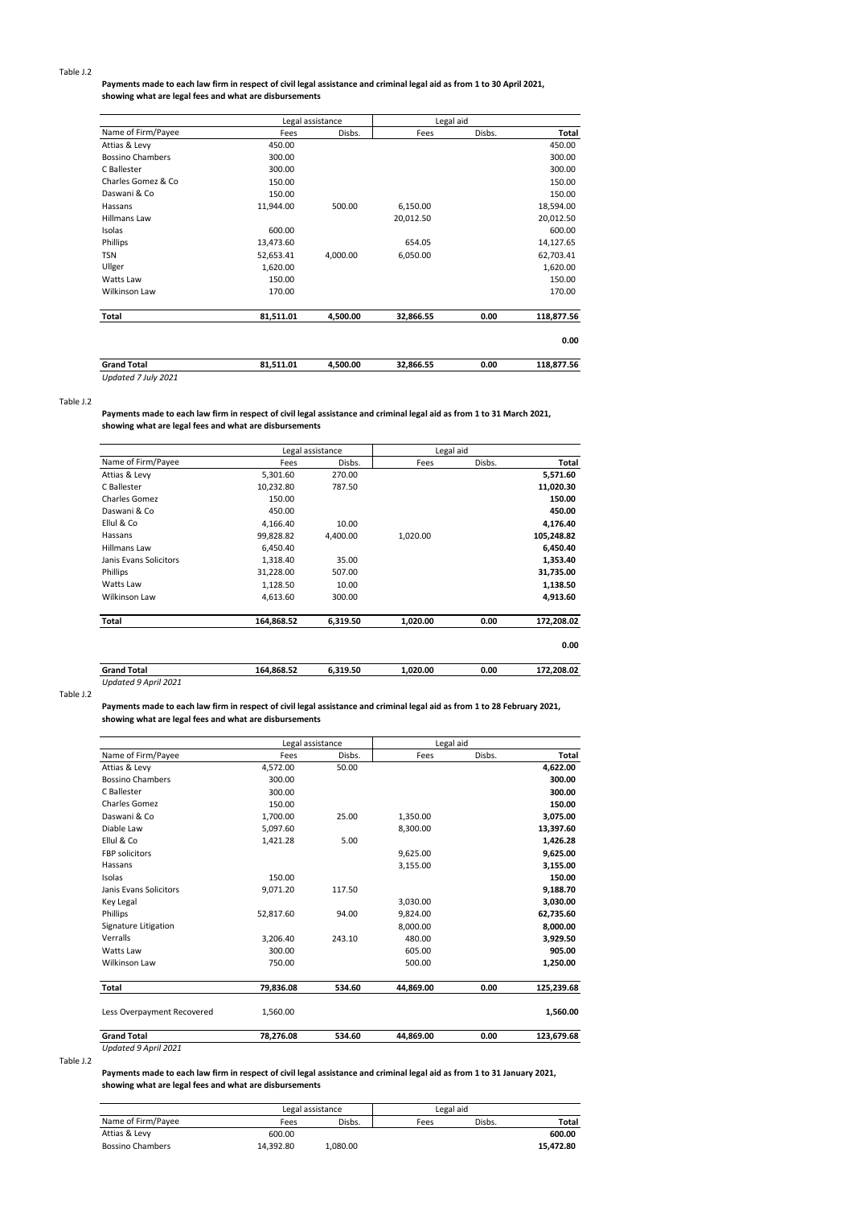### **Payments made to each law firm in respect of civil legal assistance and criminal legal aid as from 1 to 30 April 2021, showing what are legal fees and what are disbursements**

|                         |           | Legal assistance | Legal aid |        |            |
|-------------------------|-----------|------------------|-----------|--------|------------|
| Name of Firm/Payee      | Fees      | Disbs.           | Fees      | Disbs. | Total      |
| Attias & Levy           | 450.00    |                  |           |        | 450.00     |
| <b>Bossino Chambers</b> | 300.00    |                  |           |        | 300.00     |
| C Ballester             | 300.00    |                  |           |        | 300.00     |
| Charles Gomez & Co      | 150.00    |                  |           |        | 150.00     |
| Daswani & Co            | 150.00    |                  |           |        | 150.00     |
| Hassans                 | 11,944.00 | 500.00           | 6,150.00  |        | 18,594.00  |
| <b>Hillmans Law</b>     |           |                  | 20,012.50 |        | 20,012.50  |
| Isolas                  | 600.00    |                  |           |        | 600.00     |
| Phillips                | 13,473.60 |                  | 654.05    |        | 14,127.65  |
| <b>TSN</b>              | 52,653.41 | 4,000.00         | 6,050.00  |        | 62,703.41  |
| Ullger                  | 1,620.00  |                  |           |        | 1,620.00   |
| Watts Law               | 150.00    |                  |           |        | 150.00     |
| Wilkinson Law           | 170.00    |                  |           |        | 170.00     |
| Total                   | 81,511.01 | 4,500.00         | 32,866.55 | 0.00   | 118,877.56 |
|                         |           |                  |           |        | 0.00       |
| <b>Grand Total</b>      | 81,511.01 | 4,500.00         | 32,866.55 | 0.00   | 118,877.56 |
| Updated 7 July 2021     |           |                  |           |        |            |

### Table J.2

**Payments made to each law firm in respect of civil legal assistance and criminal legal aid as from 1 to 31 March 2021, showing what are legal fees and what are disbursements**

|                        |            | Legal assistance |          | Legal aid |            |
|------------------------|------------|------------------|----------|-----------|------------|
| Name of Firm/Payee     | Fees       | Disbs.           | Fees     | Disbs.    | Total      |
| Attias & Levy          | 5,301.60   | 270.00           |          |           | 5,571.60   |
| C Ballester            | 10,232.80  | 787.50           |          |           | 11,020.30  |
| Charles Gomez          | 150.00     |                  |          |           | 150.00     |
| Daswani & Co           | 450.00     |                  |          |           | 450.00     |
| Ellul & Co             | 4.166.40   | 10.00            |          |           | 4,176.40   |
| Hassans                | 99,828.82  | 4,400.00         | 1,020.00 |           | 105,248.82 |
| <b>Hillmans Law</b>    | 6,450.40   |                  |          |           | 6,450.40   |
| Janis Evans Solicitors | 1,318.40   | 35.00            |          |           | 1,353.40   |
| Phillips               | 31,228.00  | 507.00           |          |           | 31,735.00  |
| Watts Law              | 1,128.50   | 10.00            |          |           | 1,138.50   |
| Wilkinson Law          | 4,613.60   | 300.00           |          |           | 4,913.60   |
| Total                  | 164,868.52 | 6,319.50         | 1,020.00 | 0.00      | 172,208.02 |
|                        |            |                  |          |           | 0.00       |
| <b>Grand Total</b>     | 164,868.52 | 6,319.50         | 1,020.00 | 0.00      | 172,208.02 |

# *Updated 9 April 2021*

Table J.2

**Payments made to each law firm in respect of civil legal assistance and criminal legal aid as from 1 to 28 February 2021, showing what are legal fees and what are disbursements**

|                            | Legal assistance |        | Legal aid |        |            |  |
|----------------------------|------------------|--------|-----------|--------|------------|--|
| Name of Firm/Payee         | Fees             | Disbs. | Fees      | Disbs. | Total      |  |
| Attias & Levy              | 4,572.00         | 50.00  |           |        | 4,622.00   |  |
| <b>Bossino Chambers</b>    | 300.00           |        |           |        | 300.00     |  |
| C Ballester                | 300.00           |        |           |        | 300.00     |  |
| Charles Gomez              | 150.00           |        |           |        | 150.00     |  |
| Daswani & Co               | 1,700.00         | 25.00  | 1,350.00  |        | 3,075.00   |  |
| Diable Law                 | 5.097.60         |        | 8.300.00  |        | 13,397.60  |  |
| Ellul & Co                 | 1,421.28         | 5.00   |           |        | 1,426.28   |  |
| <b>FBP</b> solicitors      |                  |        | 9,625.00  |        | 9,625.00   |  |
| Hassans                    |                  |        | 3,155.00  |        | 3,155.00   |  |
| Isolas                     | 150.00           |        |           |        | 150.00     |  |
| Janis Evans Solicitors     | 9,071.20         | 117.50 |           |        | 9,188.70   |  |
| <b>Key Legal</b>           |                  |        | 3,030.00  |        | 3,030.00   |  |
| Phillips                   | 52,817.60        | 94.00  | 9,824.00  |        | 62,735.60  |  |
| Signature Litigation       |                  |        | 8,000.00  |        | 8,000.00   |  |
| Verralls                   | 3.206.40         | 243.10 | 480.00    |        | 3,929.50   |  |
| Watts Law                  | 300.00           |        | 605.00    |        | 905.00     |  |
| Wilkinson Law              | 750.00           |        | 500.00    |        | 1,250.00   |  |
| Total                      | 79,836.08        | 534.60 | 44,869.00 | 0.00   | 125,239.68 |  |
| Less Overpayment Recovered | 1,560.00         |        |           |        | 1,560.00   |  |
| <b>Grand Total</b>         | 78,276.08        | 534.60 | 44.869.00 | 0.00   | 123,679.68 |  |
| Updated 9 April 2021       |                  |        |           |        |            |  |

Table J.2

### **Payments made to each law firm in respect of civil legal assistance and criminal legal aid as from 1 to 31 January 2021, showing what are legal fees and what are disbursements**

|                         |           | Legal assistance |      | Legal aid |           |
|-------------------------|-----------|------------------|------|-----------|-----------|
| Name of Firm/Payee      | Fees      | Disbs.           | Fees | Disbs.    | Total     |
| Attias & Levy           | 600.00    |                  |      |           | 600.00    |
| <b>Bossino Chambers</b> | 14.392.80 | 1.080.00         |      |           | 15.472.80 |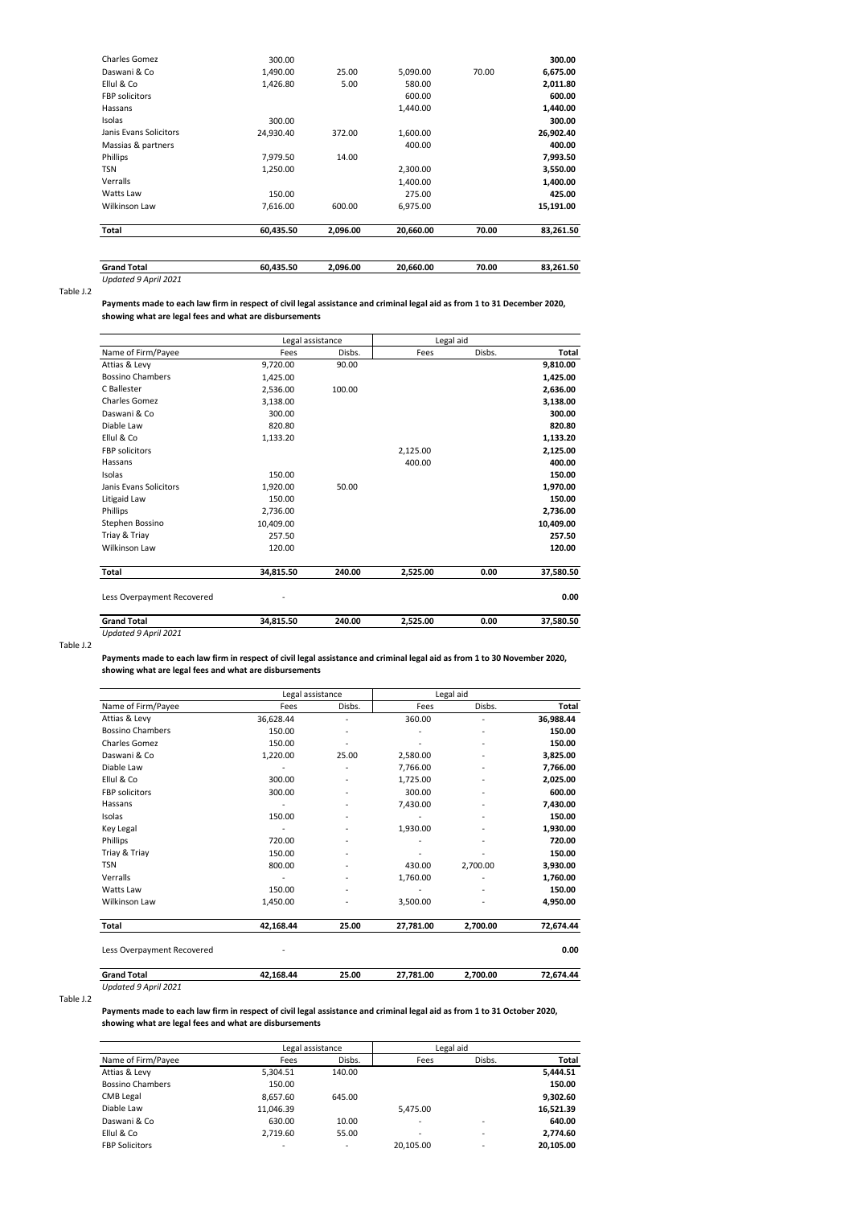| 300.00    |          |           |       | 300.00    |
|-----------|----------|-----------|-------|-----------|
| 1.490.00  | 25.00    | 5,090.00  | 70.00 | 6,675.00  |
| 1,426.80  | 5.00     | 580.00    |       | 2,011.80  |
|           |          | 600.00    |       | 600.00    |
|           |          | 1.440.00  |       | 1,440.00  |
| 300.00    |          |           |       | 300.00    |
| 24.930.40 | 372.00   | 1,600.00  |       | 26,902.40 |
|           |          | 400.00    |       | 400.00    |
| 7,979.50  | 14.00    |           |       | 7,993.50  |
| 1,250.00  |          | 2,300.00  |       | 3,550.00  |
|           |          | 1.400.00  |       | 1,400.00  |
| 150.00    |          | 275.00    |       | 425.00    |
| 7,616.00  | 600.00   | 6,975.00  |       | 15,191.00 |
| 60,435.50 | 2,096.00 | 20,660.00 | 70.00 | 83,261.50 |
|           |          |           |       |           |

| <b>Grand Total</b>   | 60.435.50 | 2.096.00 | 20.660.00 | 70.00 | 83.261.50 |
|----------------------|-----------|----------|-----------|-------|-----------|
| Updated 9 April 2021 |           |          |           |       |           |

### **Payments made to each law firm in respect of civil legal assistance and criminal legal aid as from 1 to 31 December 2020, showing what are legal fees and what are disbursements**

|                            | Legal assistance |        | Legal aid |        |           |
|----------------------------|------------------|--------|-----------|--------|-----------|
| Name of Firm/Payee         | Fees             | Disbs. | Fees      | Disbs. | Total     |
| Attias & Levy              | 9,720.00         | 90.00  |           |        | 9,810.00  |
| <b>Bossino Chambers</b>    | 1,425.00         |        |           |        | 1,425.00  |
| C Ballester                | 2,536.00         | 100.00 |           |        | 2,636.00  |
| Charles Gomez              | 3,138.00         |        |           |        | 3,138.00  |
| Daswani & Co               | 300.00           |        |           |        | 300.00    |
| Diable Law                 | 820.80           |        |           |        | 820.80    |
| Ellul & Co                 | 1,133.20         |        |           |        | 1,133.20  |
| <b>FBP</b> solicitors      |                  |        | 2,125.00  |        | 2,125.00  |
| Hassans                    |                  |        | 400.00    |        | 400.00    |
| Isolas                     | 150.00           |        |           |        | 150.00    |
| Janis Evans Solicitors     | 1,920.00         | 50.00  |           |        | 1,970.00  |
| Litigaid Law               | 150.00           |        |           |        | 150.00    |
| Phillips                   | 2,736.00         |        |           |        | 2,736.00  |
| Stephen Bossino            | 10,409.00        |        |           |        | 10,409.00 |
| Triay & Triay              | 257.50           |        |           |        | 257.50    |
| Wilkinson Law              | 120.00           |        |           |        | 120.00    |
| Total                      | 34,815.50        | 240.00 | 2,525.00  | 0.00   | 37,580.50 |
| Less Overpayment Recovered |                  |        |           |        | 0.00      |

| <b>Grand Total</b>   | 34.815.50 | 240.00 | 525.00 | 0.00 | 7.580.50 |
|----------------------|-----------|--------|--------|------|----------|
| Updated 9 April 2021 |           |        |        |      |          |

Table J.2

### **Payments made to each law firm in respect of civil legal assistance and criminal legal aid as from 1 to 30 November 2020, showing what are legal fees and what are disbursements**

|                            | Legal assistance             |                              | Legal aid |          |           |  |
|----------------------------|------------------------------|------------------------------|-----------|----------|-----------|--|
| Name of Firm/Payee         | Fees                         | Disbs.                       | Fees      | Disbs.   | Total     |  |
| Attias & Levy              | 36,628.44                    | ٠                            | 360.00    | ä,       | 36,988.44 |  |
| <b>Bossino Chambers</b>    | 150.00                       |                              |           | ٠        | 150.00    |  |
| Charles Gomez              | 150.00                       |                              |           |          | 150.00    |  |
| Daswani & Co               | 1,220.00                     | 25.00                        | 2,580.00  | ٠        | 3,825.00  |  |
| Diable Law                 |                              |                              | 7,766.00  |          | 7,766.00  |  |
| Ellul & Co                 | 300.00                       | $\overline{\phantom{a}}$     | 1,725.00  | ٠        | 2,025.00  |  |
| <b>FBP</b> solicitors      | 300.00                       | $\overline{\phantom{a}}$     | 300.00    | ٠        | 600.00    |  |
| Hassans                    | $\qquad \qquad \blacksquare$ | ٠                            | 7,430.00  |          | 7,430.00  |  |
| Isolas                     | 150.00                       | ٠                            |           | ٠        | 150.00    |  |
| Key Legal                  |                              | $\qquad \qquad \blacksquare$ | 1,930.00  |          | 1,930.00  |  |
| Phillips                   | 720.00                       |                              |           |          | 720.00    |  |
| Triay & Triay              | 150.00                       | $\overline{\phantom{a}}$     |           | ٠        | 150.00    |  |
| TSN                        | 800.00                       | $\overline{\phantom{a}}$     | 430.00    | 2,700.00 | 3,930.00  |  |
| Verralls                   |                              | $\overline{\phantom{a}}$     | 1,760.00  |          | 1,760.00  |  |
| Watts Law                  | 150.00                       | ٠                            |           |          | 150.00    |  |
| Wilkinson Law              | 1,450.00                     |                              | 3,500.00  |          | 4,950.00  |  |
| Total                      | 42,168.44                    | 25.00                        | 27,781.00 | 2,700.00 | 72,674.44 |  |
| Less Overpayment Recovered |                              |                              |           |          | 0.00      |  |

**Grand Total 42,168.44 25.00 27,781.00 2,700.00 72,674.44**

*Updated 9 April 2021*

Table J.2

**Payments made to each law firm in respect of civil legal assistance and criminal legal aid as from 1 to 31 October 2020, showing what are legal fees and what are disbursements**

| Name of Firm/Payee      |           | Legal assistance         |           | Legal aid |              |
|-------------------------|-----------|--------------------------|-----------|-----------|--------------|
|                         | Fees      | Disbs.                   | Fees      | Disbs.    | <b>Total</b> |
| Attias & Levy           | 5,304.51  | 140.00                   |           |           | 5,444.51     |
| <b>Bossino Chambers</b> | 150.00    |                          |           |           | 150.00       |
| <b>CMB Legal</b>        | 8.657.60  | 645.00                   |           |           | 9,302.60     |
| Diable Law              | 11,046.39 |                          | 5,475.00  |           | 16,521.39    |
| Daswani & Co            | 630.00    | 10.00                    | -         | -         | 640.00       |
| Ellul & Co              | 2.719.60  | 55.00                    | -         | -         | 2,774.60     |
| <b>FBP Solicitors</b>   | ٠         | $\overline{\phantom{0}}$ | 20.105.00 | -         | 20.105.00    |
|                         |           |                          |           |           |              |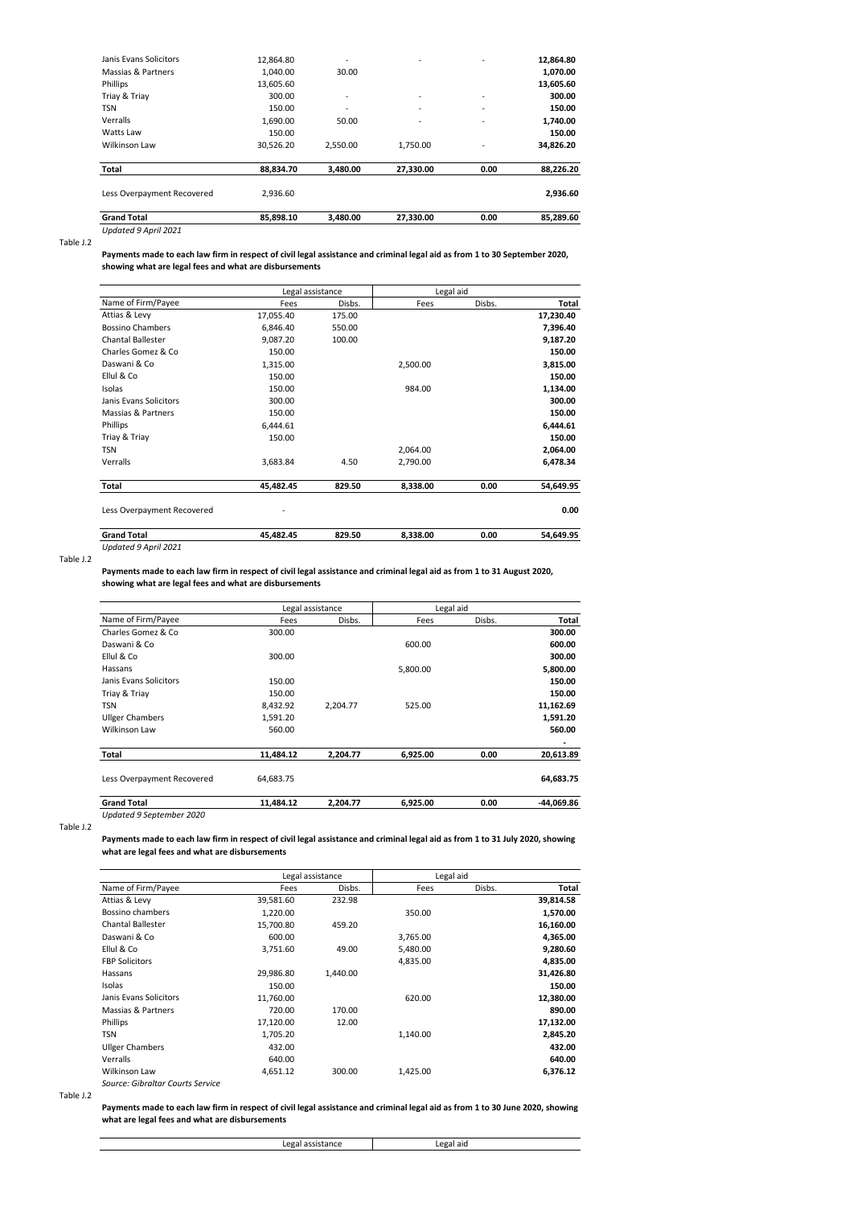| <b>Grand Total</b>         | 85.898.10 | 3.480.00                 | 27.330.00 | 0.00 | 85.289.60 |
|----------------------------|-----------|--------------------------|-----------|------|-----------|
| Less Overpayment Recovered | 2.936.60  |                          |           |      | 2,936.60  |
| Total                      | 88.834.70 | 3,480.00                 | 27,330.00 | 0.00 | 88.226.20 |
| Wilkinson Law              | 30.526.20 | 2.550.00                 | 1.750.00  | ٠    | 34,826.20 |
| Watts Law                  | 150.00    |                          |           |      | 150.00    |
| Verralls                   | 1,690.00  | 50.00                    | ٠         | ٠    | 1,740.00  |
| <b>TSN</b>                 | 150.00    | ٠                        | ٠         | ٠    | 150.00    |
| Triay & Triay              | 300.00    | $\overline{\phantom{a}}$ | ٠         | ٠    | 300.00    |
| Phillips                   | 13.605.60 |                          |           |      | 13.605.60 |
| Massias & Partners         | 1.040.00  | 30.00                    |           |      | 1,070.00  |
| Janis Evans Solicitors     | 12,864.80 | ٠                        | ٠         | ٠    | 12,864.80 |

*Updated 9 April 2021*

### Table J.2

**Payments made to each law firm in respect of civil legal assistance and criminal legal aid as from 1 to 30 September 2020, showing what are legal fees and what are disbursements**

|                            | Legal assistance |        | Legal aid |        |           |
|----------------------------|------------------|--------|-----------|--------|-----------|
| Name of Firm/Payee         | Fees             | Disbs. | Fees      | Disbs. | Total     |
| Attias & Levy              | 17,055.40        | 175.00 |           |        | 17,230.40 |
| <b>Bossino Chambers</b>    | 6,846.40         | 550.00 |           |        | 7,396.40  |
| <b>Chantal Ballester</b>   | 9,087.20         | 100.00 |           |        | 9,187.20  |
| Charles Gomez & Co         | 150.00           |        |           |        | 150.00    |
| Daswani & Co               | 1,315.00         |        | 2,500.00  |        | 3,815.00  |
| Ellul & Co                 | 150.00           |        |           |        | 150.00    |
| Isolas                     | 150.00           |        | 984.00    |        | 1,134.00  |
| Janis Evans Solicitors     | 300.00           |        |           |        | 300.00    |
| Massias & Partners         | 150.00           |        |           |        | 150.00    |
| Phillips                   | 6,444.61         |        |           |        | 6,444.61  |
| Triay & Triay              | 150.00           |        |           |        | 150.00    |
| <b>TSN</b>                 |                  |        | 2,064.00  |        | 2,064.00  |
| Verralls                   | 3,683.84         | 4.50   | 2,790.00  |        | 6,478.34  |
| Total                      | 45,482.45        | 829.50 | 8,338.00  | 0.00   | 54,649.95 |
| Less Overpayment Recovered |                  |        |           |        | 0.00      |
| <b>Grand Total</b>         | 45,482.45        | 829.50 | 8,338.00  | 0.00   | 54,649.95 |

Table J.2

**Payments made to each law firm in respect of civil legal assistance and criminal legal aid as from 1 to 31 August 2020, showing what are legal fees and what are disbursements**

|                            |           | Legal assistance |          | Legal aid |              |
|----------------------------|-----------|------------------|----------|-----------|--------------|
| Name of Firm/Payee         | Fees      | Disbs.           | Fees     | Disbs.    | Total        |
| Charles Gomez & Co.        | 300.00    |                  |          |           | 300.00       |
| Daswani & Co               |           |                  | 600.00   |           | 600.00       |
| Ellul & Co.                | 300.00    |                  |          |           | 300.00       |
| Hassans                    |           |                  | 5,800.00 |           | 5,800.00     |
| Janis Evans Solicitors     | 150.00    |                  |          |           | 150.00       |
| Triay & Triay              | 150.00    |                  |          |           | 150.00       |
| <b>TSN</b>                 | 8,432.92  | 2.204.77         | 525.00   |           | 11,162.69    |
| <b>Ullger Chambers</b>     | 1,591.20  |                  |          |           | 1,591.20     |
| Wilkinson Law              | 560.00    |                  |          |           | 560.00       |
| Total                      | 11.484.12 | 2.204.77         | 6,925.00 | 0.00      | 20,613.89    |
| Less Overpayment Recovered | 64,683.75 |                  |          |           | 64,683.75    |
| <b>Grand Total</b>         | 11,484.12 | 2,204.77         | 6,925.00 | 0.00      | $-44,069.86$ |

*Updated 9 September 2020* Table J.2

*Updated 9 April 2021*

**Payments made to each law firm in respect of civil legal assistance and criminal legal aid as from 1 to 31 July 2020, showing what are legal fees and what are disbursements**

|                                  |           | Legal assistance | Legal aid |        |           |
|----------------------------------|-----------|------------------|-----------|--------|-----------|
| Name of Firm/Payee               | Fees      | Disbs.           | Fees      | Disbs. | Total     |
| Attias & Levy                    | 39,581.60 | 232.98           |           |        | 39,814.58 |
| Bossino chambers                 | 1.220.00  |                  | 350.00    |        | 1,570.00  |
| <b>Chantal Ballester</b>         | 15.700.80 | 459.20           |           |        | 16,160.00 |
| Daswani & Co                     | 600.00    |                  | 3,765.00  |        | 4,365.00  |
| Ellul & Co                       | 3,751.60  | 49.00            | 5,480.00  |        | 9,280.60  |
| <b>FBP Solicitors</b>            |           |                  | 4,835.00  |        | 4,835.00  |
| Hassans                          | 29,986.80 | 1.440.00         |           |        | 31,426.80 |
| Isolas                           | 150.00    |                  |           |        | 150.00    |
| Janis Evans Solicitors           | 11.760.00 |                  | 620.00    |        | 12,380.00 |
| Massias & Partners               | 720.00    | 170.00           |           |        | 890.00    |
| Phillips                         | 17,120.00 | 12.00            |           |        | 17,132.00 |
| <b>TSN</b>                       | 1,705.20  |                  | 1.140.00  |        | 2,845.20  |
| <b>Ullger Chambers</b>           | 432.00    |                  |           |        | 432.00    |
| Verralls                         | 640.00    |                  |           |        | 640.00    |
| Wilkinson Law                    | 4,651.12  | 300.00           | 1.425.00  |        | 6,376.12  |
| Source: Gibraltar Courts Service |           |                  |           |        |           |

## Table J.2

**Payments made to each law firm in respect of civil legal assistance and criminal legal aid as from 1 to 30 June 2020, showing what are legal fees and what are disbursements**

| $\alpha$ $\tau$ | $\sim$<br>aic |
|-----------------|---------------|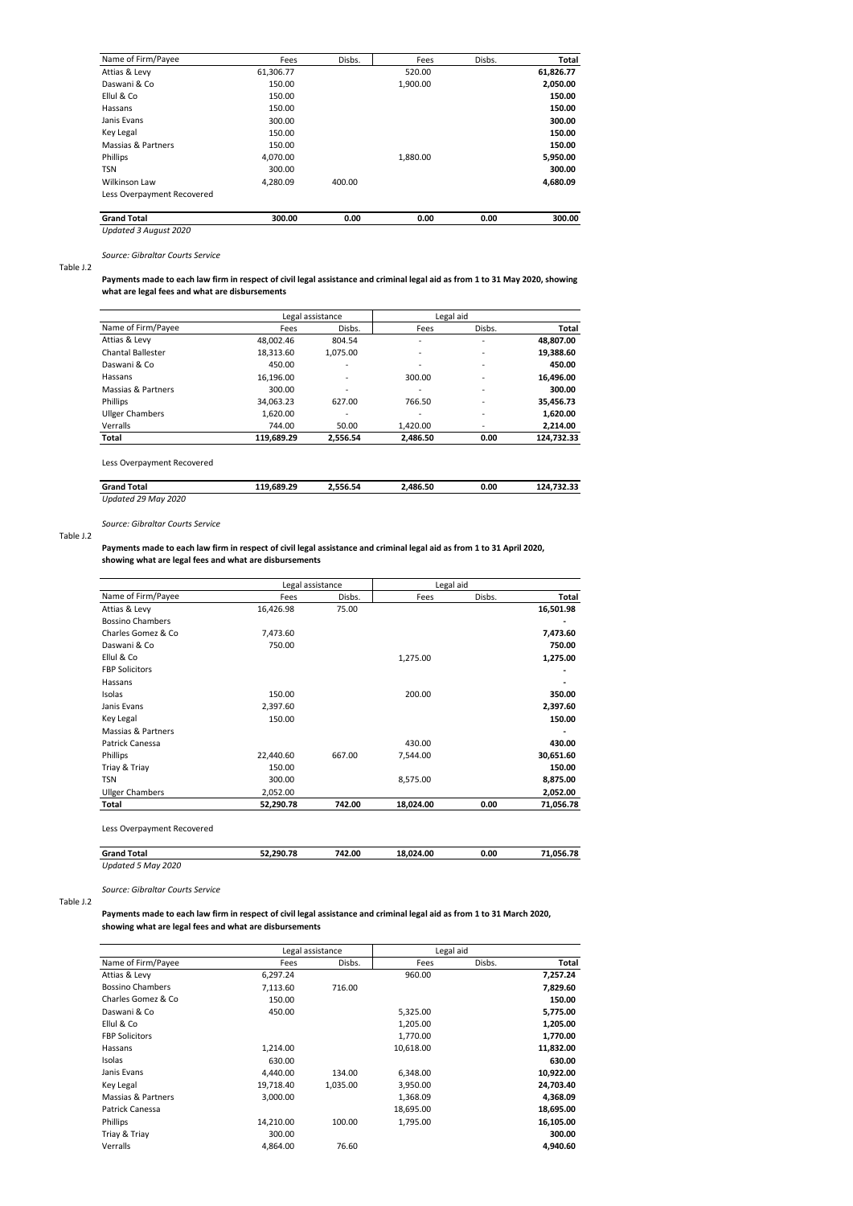| Name of Firm/Payee         | Fees      | Disbs. | Fees     | Disbs. | Total     |
|----------------------------|-----------|--------|----------|--------|-----------|
| Attias & Levy              | 61,306.77 |        | 520.00   |        | 61,826.77 |
| Daswani & Co               | 150.00    |        | 1,900.00 |        | 2,050.00  |
| Ellul & Co                 | 150.00    |        |          |        | 150.00    |
| Hassans                    | 150.00    |        |          |        | 150.00    |
| Janis Evans                | 300.00    |        |          |        | 300.00    |
| Key Legal                  | 150.00    |        |          |        | 150.00    |
| Massias & Partners         | 150.00    |        |          |        | 150.00    |
| <b>Phillips</b>            | 4.070.00  |        | 1,880.00 |        | 5,950.00  |
| <b>TSN</b>                 | 300.00    |        |          |        | 300.00    |
| <b>Wilkinson Law</b>       | 4.280.09  | 400.00 |          |        | 4.680.09  |
| Less Overpayment Recovered |           |        |          |        |           |
| <b>Grand Total</b>         | 300.00    | 0.00   | 0.00     | 0.00   | 300.00    |

*Updated 3 August 2020*

*Source: Gibraltar Courts Service*

### Table J.2

**Payments made to each law firm in respect of civil legal assistance and criminal legal aid as from 1 to 31 May 2020, showing what are legal fees and what are disbursements**

| Name of Firm/Payee       |            | Legal assistance         |          | Legal aid |            |
|--------------------------|------------|--------------------------|----------|-----------|------------|
|                          | Fees       | Disbs.                   | Fees     | Disbs.    | Total      |
| Attias & Levy            | 48,002.46  | 804.54                   | ٠        | ٠         | 48,807.00  |
| <b>Chantal Ballester</b> | 18.313.60  | 1.075.00                 | ٠        | -         | 19,388.60  |
| Daswani & Co             | 450.00     | $\overline{\phantom{0}}$ | ٠        | ٠         | 450.00     |
| Hassans                  | 16.196.00  | $\overline{\phantom{0}}$ | 300.00   | ٠         | 16,496.00  |
| Massias & Partners       | 300.00     | ٠                        |          | ٠         | 300.00     |
| Phillips                 | 34,063.23  | 627.00                   | 766.50   | ٠         | 35,456.73  |
| <b>Ullger Chambers</b>   | 1,620.00   | $\overline{\phantom{0}}$ | ٠        | ٠         | 1,620.00   |
| Verralls                 | 744.00     | 50.00                    | 1.420.00 | ٠         | 2,214.00   |
| Total                    | 119,689.29 | 2.556.54                 | 2.486.50 | 0.00      | 124.732.33 |

Less Overpayment Recovered

| <b>Grand Total</b>     | 119.689.29 | 1.556.54 | .486.50 | 0.00 | 727 23<br>-24<br>. |
|------------------------|------------|----------|---------|------|--------------------|
| Updated 29 May<br>2020 |            |          |         |      |                    |

*Source: Gibraltar Courts Service*

#### Table J.2

**Payments made to each law firm in respect of civil legal assistance and criminal legal aid as from 1 to 31 April 2020, showing what are legal fees and what are disbursements**

|                         |           | Legal assistance |           | Legal aid |           |
|-------------------------|-----------|------------------|-----------|-----------|-----------|
| Name of Firm/Payee      | Fees      | Disbs.           | Fees      | Disbs.    | Total     |
| Attias & Levy           | 16,426.98 | 75.00            |           |           | 16,501.98 |
| <b>Bossino Chambers</b> |           |                  |           |           |           |
| Charles Gomez & Co      | 7,473.60  |                  |           |           | 7,473.60  |
| Daswani & Co            | 750.00    |                  |           |           | 750.00    |
| Ellul & Co              |           |                  | 1,275.00  |           | 1,275.00  |
| <b>FBP Solicitors</b>   |           |                  |           |           |           |
| Hassans                 |           |                  |           |           |           |
| Isolas                  | 150.00    |                  | 200.00    |           | 350.00    |
| Janis Evans             | 2,397.60  |                  |           |           | 2,397.60  |
| Key Legal               | 150.00    |                  |           |           | 150.00    |
| Massias & Partners      |           |                  |           |           |           |
| Patrick Canessa         |           |                  | 430.00    |           | 430.00    |
| Phillips                | 22,440.60 | 667.00           | 7,544.00  |           | 30,651.60 |
| Triay & Triay           | 150.00    |                  |           |           | 150.00    |
| <b>TSN</b>              | 300.00    |                  | 8,575.00  |           | 8,875.00  |
| <b>Ullger Chambers</b>  | 2,052.00  |                  |           |           | 2,052.00  |
| Total                   | 52,290.78 | 742.00           | 18,024.00 | 0.00      | 71,056.78 |
|                         |           |                  |           |           |           |

Less Overpayment Recovered

| <b>Grand Total</b> | 52.290.78 | 742.00 | 18.024.00 | 0.00 | 71.056.78 |
|--------------------|-----------|--------|-----------|------|-----------|
| Updated 5 May 2020 |           |        |           |      |           |

*Source: Gibraltar Courts Service* Table J.2

**Payments made to each law firm in respect of civil legal assistance and criminal legal aid as from 1 to 31 March 2020, showing what are legal fees and what are disbursements**

|                         |           | Legal assistance | Legal aid |        |           |
|-------------------------|-----------|------------------|-----------|--------|-----------|
| Name of Firm/Payee      | Fees      | Disbs.           | Fees      | Disbs. | Total     |
| Attias & Levy           | 6,297.24  |                  | 960.00    |        | 7,257.24  |
| <b>Bossino Chambers</b> | 7,113.60  | 716.00           |           |        | 7,829.60  |
| Charles Gomez & Co      | 150.00    |                  |           |        | 150.00    |
| Daswani & Co            | 450.00    |                  | 5,325.00  |        | 5,775.00  |
| Ellul & Co              |           |                  | 1,205.00  |        | 1,205.00  |
| <b>FBP Solicitors</b>   |           |                  | 1,770.00  |        | 1,770.00  |
| Hassans                 | 1,214.00  |                  | 10,618.00 |        | 11,832.00 |
| Isolas                  | 630.00    |                  |           |        | 630.00    |
| Janis Evans             | 4.440.00  | 134.00           | 6,348.00  |        | 10,922.00 |
| Key Legal               | 19,718.40 | 1,035.00         | 3,950.00  |        | 24,703.40 |
| Massias & Partners      | 3,000.00  |                  | 1,368.09  |        | 4,368.09  |
| Patrick Canessa         |           |                  | 18,695.00 |        | 18,695.00 |
| Phillips                | 14,210.00 | 100.00           | 1,795.00  |        | 16,105.00 |
| Triay & Triay           | 300.00    |                  |           |        | 300.00    |
| Verralls                | 4.864.00  | 76.60            |           |        | 4,940.60  |